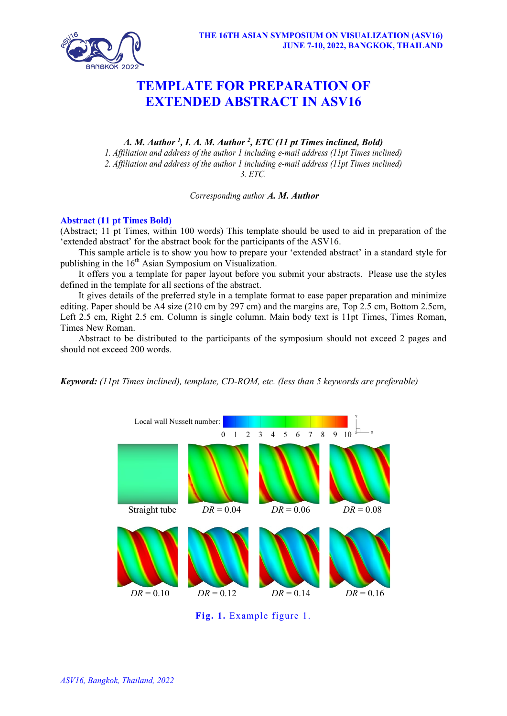

## **TEMPLATE FOR PREPARATION OF EXTENDED ABSTRACT IN ASV16**

*A. M. Author 1 , I. A. M. Author 2 , ETC (11 pt Times inclined, Bold) 1. Affiliation and address of the author 1 including e-mail address (11pt Times inclined) 2. Affiliation and address of the author 1 including e-mail address (11pt Times inclined) 3. ETC.*

*Corresponding author A. M. Author*

## **Abstract (11 pt Times Bold)**

(Abstract; 11 pt Times, within 100 words) This template should be used to aid in preparation of the 'extended abstract' for the abstract book for the participants of the ASV16.

This sample article is to show you how to prepare your 'extended abstract' in a standard style for publishing in the  $16<sup>th</sup>$  Asian Symposium on Visualization.

It offers you a template for paper layout before you submit your abstracts. Please use the styles defined in the template for all sections of the abstract.

It gives details of the preferred style in a template format to ease paper preparation and minimize editing. Paper should be A4 size (210 cm by 297 cm) and the margins are, Top 2.5 cm, Bottom 2.5cm, Left 2.5 cm, Right 2.5 cm. Column is single column. Main body text is 11pt Times, Times Roman, Times New Roman.

Abstract to be distributed to the participants of the symposium should not exceed 2 pages and should not exceed 200 words.

*Keyword: (11pt Times inclined), template, CD-ROM, etc. (less than 5 keywords are preferable)*



**Fig. 1.** Example figure 1.